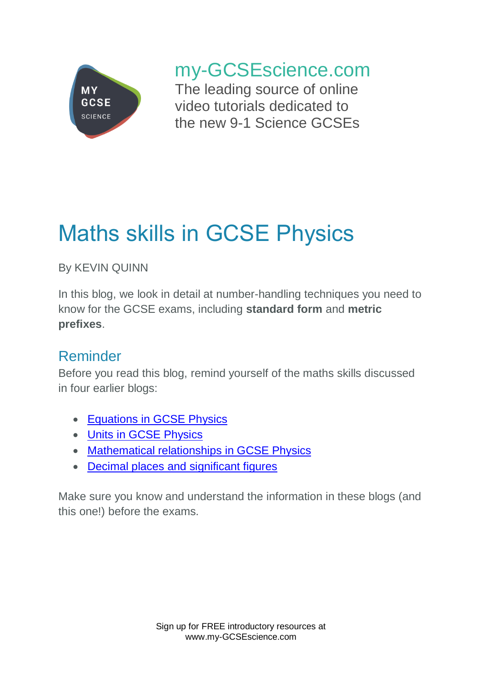

my-GCSEscience.com

The leading source of online video tutorials dedicated to the new 9-1 Science GCSEs

# Maths skills in GCSE Physics

By KEVIN QUINN

In this blog, we look in detail at number-handling techniques you need to know for the GCSE exams, including **standard form** and **metric prefixes**.

## Reminder

Before you read this blog, remind yourself of the maths skills discussed in four earlier blogs:

- Equations in [GCSE Physics](https://www.my-gcsescience.com/equations-gcse-physics/)
- [Units in GCSE](https://www.my-gcsescience.com/units-gcse-physics/) Physics
- Mathematical [relationships in GCSE Physics](https://www.my-gcsescience.com/mathematical-relationships-gcse-physics/)
- [Decimal places and significant figures](https://www.my-gcsescience.com/decimal-places-significant-figures/)

Make sure you know and understand the information in these blogs (and this one!) before the exams.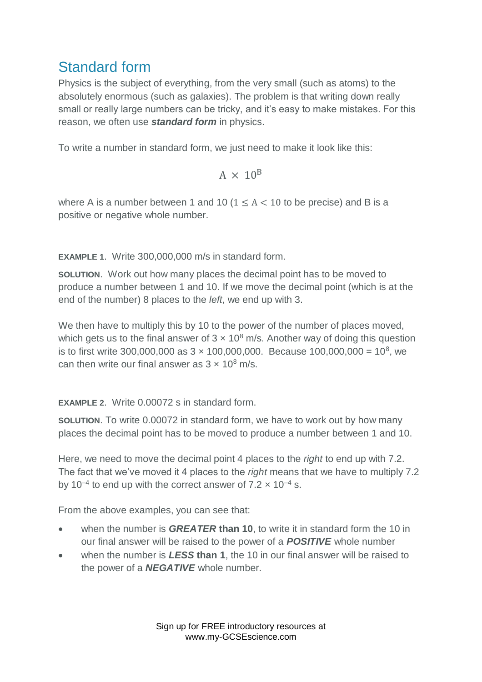### Standard form

Physics is the subject of everything, from the very small (such as atoms) to the absolutely enormous (such as galaxies). The problem is that writing down really small or really large numbers can be tricky, and it's easy to make mistakes. For this reason, we often use *standard form* in physics.

To write a number in standard form, we just need to make it look like this:

$$
A\,\times\,10^B
$$

where A is a number between 1 and 10 ( $1 \leq A < 10$  to be precise) and B is a positive or negative whole number.

**EXAMPLE 1**. Write 300,000,000 m/s in standard form.

**SOLUTION**. Work out how many places the decimal point has to be moved to produce a number between 1 and 10. If we move the decimal point (which is at the end of the number) 8 places to the *left*, we end up with 3.

We then have to multiply this by 10 to the power of the number of places moved, which gets us to the final answer of  $3 \times 10^8$  m/s. Another way of doing this question is to first write 300,000,000 as  $3 \times 100,000,000$ . Because 100,000,000 = 10<sup>8</sup>, we can then write our final answer as  $3 \times 10^8$  m/s.

**EXAMPLE 2**. Write 0.00072 s in standard form.

**SOLUTION**. To write 0.00072 in standard form, we have to work out by how many places the decimal point has to be moved to produce a number between 1 and 10.

Here, we need to move the decimal point 4 places to the *right* to end up with 7.2. The fact that we've moved it 4 places to the *right* means that we have to multiply 7.2 by 10<sup>-4</sup> to end up with the correct answer of 7.2  $\times$  10<sup>-4</sup> s.

From the above examples, you can see that:

- when the number is *GREATER* **than 10**, to write it in standard form the 10 in our final answer will be raised to the power of a *POSITIVE* whole number
- when the number is *LESS* **than 1**, the 10 in our final answer will be raised to the power of a *NEGATIVE* whole number.